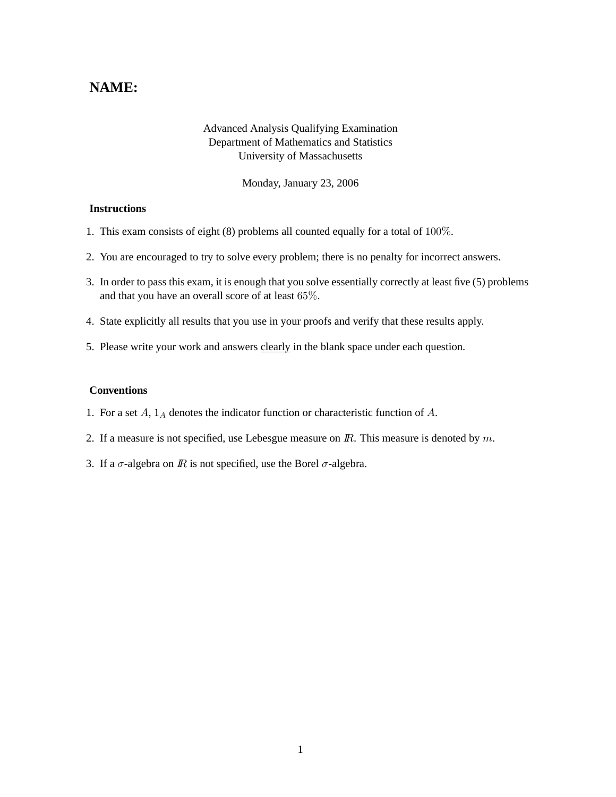## **NAME:**

## Advanced Analysis Qualifying Examination Department of Mathematics and Statistics University of Massachusetts

Monday, January 23, 2006

## **Instructions**

- 1. This exam consists of eight (8) problems all counted equally for a total of 100%.
- 2. You are encouraged to try to solve every problem; there is no penalty for incorrect answers.
- 3. In order to pass this exam, it is enough that you solve essentially correctly at least five (5) problems and that you have an overall score of at least 65%.
- 4. State explicitly all results that you use in your proofs and verify that these results apply.
- 5. Please write your work and answers clearly in the blank space under each question.

## **Conventions**

- 1. For a set  $A$ ,  $1_A$  denotes the indicator function or characteristic function of  $A$ .
- 2. If a measure is not specified, use Lebesgue measure on  $\mathbb{R}$ . This measure is denoted by  $m$ .
- 3. If a  $\sigma$ -algebra on  $\mathbb R$  is not specified, use the Borel  $\sigma$ -algebra.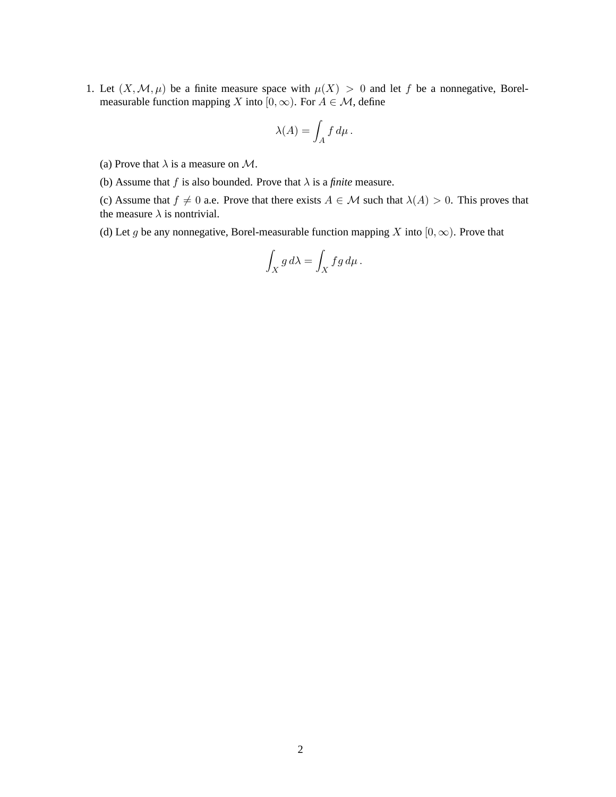1. Let  $(X, \mathcal{M}, \mu)$  be a finite measure space with  $\mu(X) > 0$  and let f be a nonnegative, Borelmeasurable function mapping X into  $[0, \infty)$ . For  $A \in \mathcal{M}$ , define

$$
\lambda(A) = \int_A f \, d\mu \, .
$$

- (a) Prove that  $\lambda$  is a measure on  $\mathcal{M}$ .
- (b) Assume that f is also bounded. Prove that  $\lambda$  is a *finite* measure.

(c) Assume that  $f \neq 0$  a.e. Prove that there exists  $A \in \mathcal{M}$  such that  $\lambda(A) > 0$ . This proves that the measure  $\lambda$  is nontrivial.

(d) Let g be any nonnegative, Borel-measurable function mapping X into  $[0, \infty)$ . Prove that

$$
\int_X g \, d\lambda = \int_X f g \, d\mu \, .
$$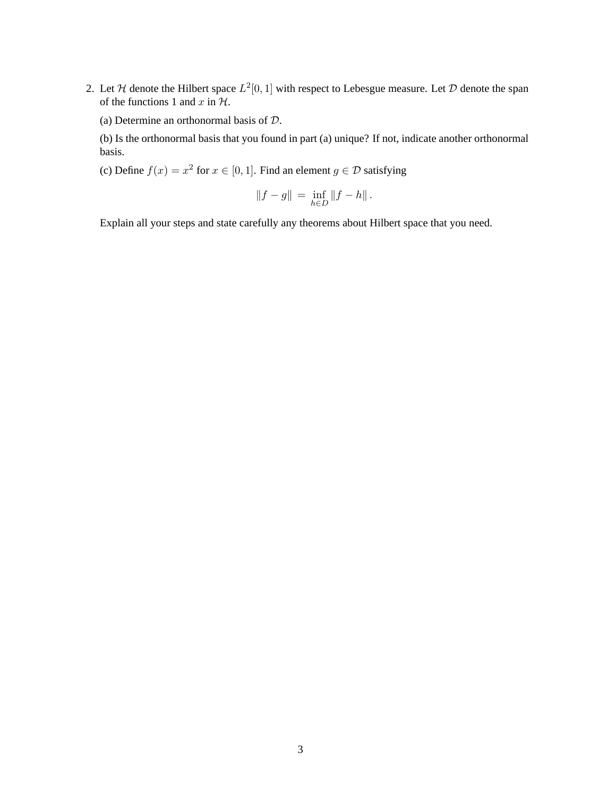- 2. Let H denote the Hilbert space  $L^2[0,1]$  with respect to Lebesgue measure. Let D denote the span of the functions 1 and  $x$  in  $H$ .
	- (a) Determine an orthonormal basis of D.

(b) Is the orthonormal basis that you found in part (a) unique? If not, indicate another orthonormal basis.

(c) Define  $f(x) = x^2$  for  $x \in [0, 1]$ . Find an element  $g \in \mathcal{D}$  satisfying

$$
||f - g|| = \inf_{h \in D} ||f - h||.
$$

Explain all your steps and state carefully any theorems about Hilbert space that you need.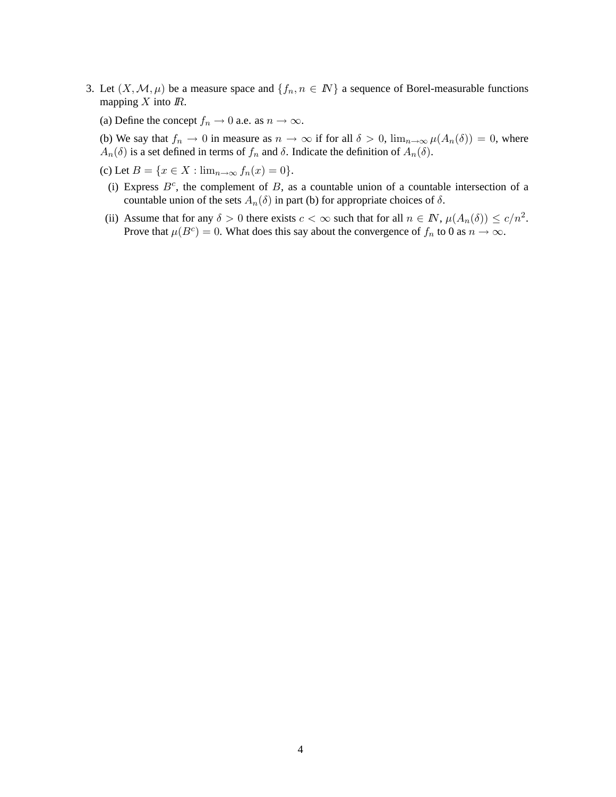- 3. Let  $(X, \mathcal{M}, \mu)$  be a measure space and  $\{f_n, n \in \mathbb{N}\}\$ a sequence of Borel-measurable functions mapping  $X$  into  $\mathbb{R}$ .
	- (a) Define the concept  $f_n \to 0$  a.e. as  $n \to \infty$ .
	- (b) We say that  $f_n \to 0$  in measure as  $n \to \infty$  if for all  $\delta > 0$ ,  $\lim_{n \to \infty} \mu(A_n(\delta)) = 0$ , where  $A_n(\delta)$  is a set defined in terms of  $f_n$  and  $\delta$ . Indicate the definition of  $A_n(\delta)$ .
	- (c) Let  $B = \{x \in X : \lim_{n \to \infty} f_n(x) = 0\}.$ 
		- (i) Express  $B<sup>c</sup>$ , the complement of B, as a countable union of a countable intersection of a countable union of the sets  $A_n(\delta)$  in part (b) for appropriate choices of  $\delta$ .
	- (ii) Assume that for any  $\delta > 0$  there exists  $c < \infty$  such that for all  $n \in \mathbb{N}$ ,  $\mu(A_n(\delta)) \le c/n^2$ . Prove that  $\mu(B^c) = 0$ . What does this say about the convergence of  $f_n$  to 0 as  $n \to \infty$ .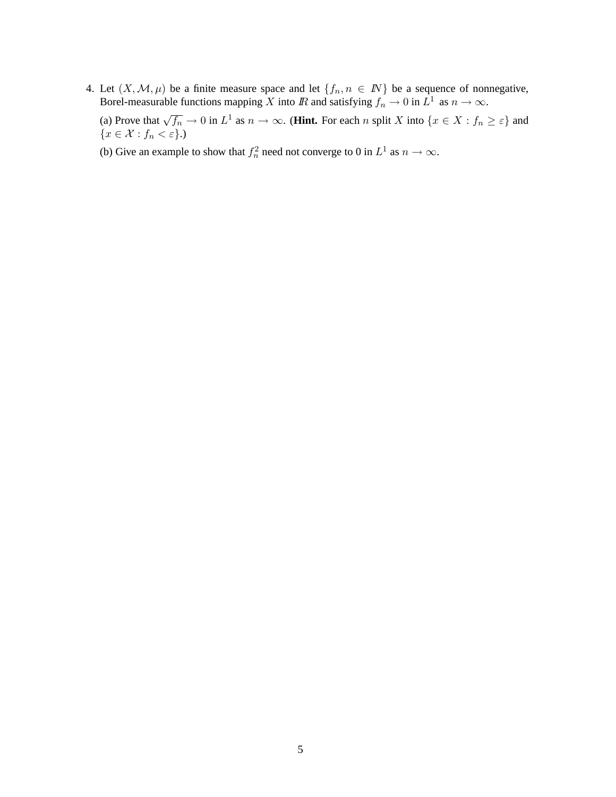4. Let  $(X, \mathcal{M}, \mu)$  be a finite measure space and let  $\{f_n, n \in \mathbb{N}\}\$  be a sequence of nonnegative, Borel-measurable functions mapping X into  $\mathbb R$  and satisfying  $f_n \to 0$  in  $L^1$  as  $n \to \infty$ .

(a) Prove that  $\sqrt{f_n} \to 0$  in  $L^1$  as  $n \to \infty$ . (**Hint.** For each n split X into  $\{x \in X : f_n \ge \varepsilon\}$  and  ${x \in \mathcal{X} : f_n < \varepsilon}.$ 

(b) Give an example to show that  $f_n^2$  need not converge to 0 in  $L^1$  as  $n \to \infty$ .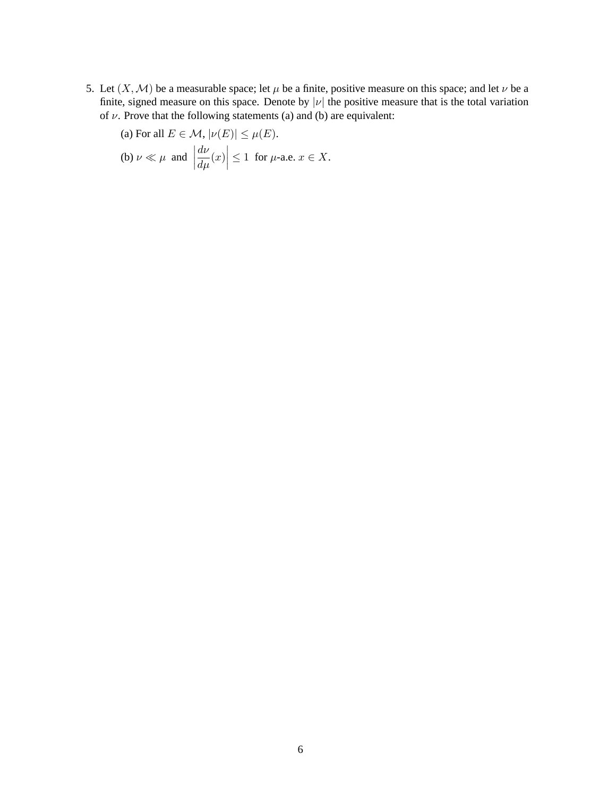5. Let  $(X, \mathcal{M})$  be a measurable space; let  $\mu$  be a finite, positive measure on this space; and let  $\nu$  be a finite, signed measure on this space. Denote by  $|\nu|$  the positive measure that is the total variation of  $\nu$ . Prove that the following statements (a) and (b) are equivalent:

(a) For all 
$$
E \in \mathcal{M}
$$
,  $|\nu(E)| \le \mu(E)$ .  
\n(b)  $\nu \ll \mu$  and  $\left| \frac{d\nu}{d\mu}(x) \right| \le 1$  for  $\mu$ -a.e.  $x \in X$ .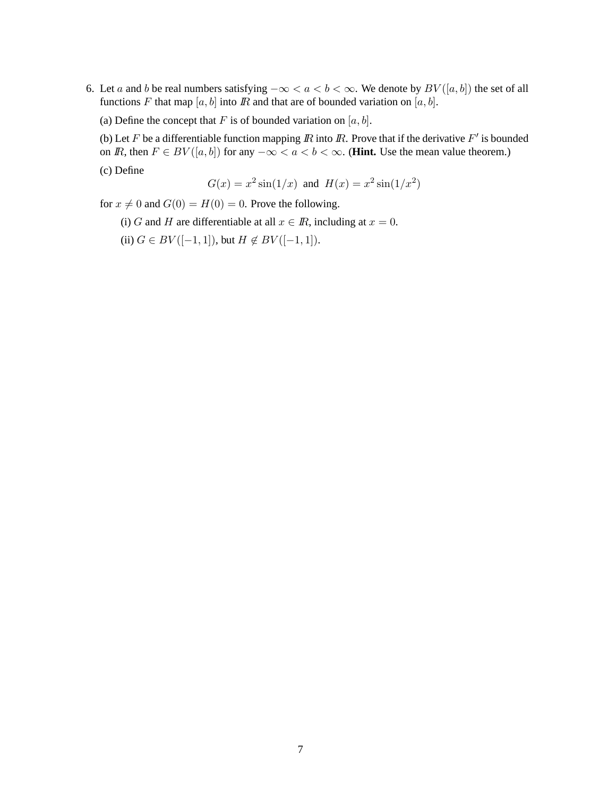- 6. Let a and b be real numbers satisfying  $-\infty < a < b < \infty$ . We denote by  $BV([a, b])$  the set of all functions F that map  $[a, b]$  into  $\mathbb R$  and that are of bounded variation on  $[a, b]$ .
	- (a) Define the concept that F is of bounded variation on  $[a, b]$ .

(b) Let F be a differentiable function mapping  $\overline{R}$  into  $\overline{R}$ . Prove that if the derivative  $F'$  is bounded on *IR*, then  $F \in BV([a, b])$  for any  $-\infty < a < b < \infty$ . (**Hint.** Use the mean value theorem.) (c) Define

$$
G(x) = x^2 \sin(1/x)
$$
 and  $H(x) = x^2 \sin(1/x^2)$ 

for  $x \neq 0$  and  $G(0) = H(0) = 0$ . Prove the following.

- (i) G and H are differentiable at all  $x \in \mathbb{R}$ , including at  $x = 0$ .
- (ii)  $G \in BV([-1, 1]),$  but  $H \notin BV([-1, 1]).$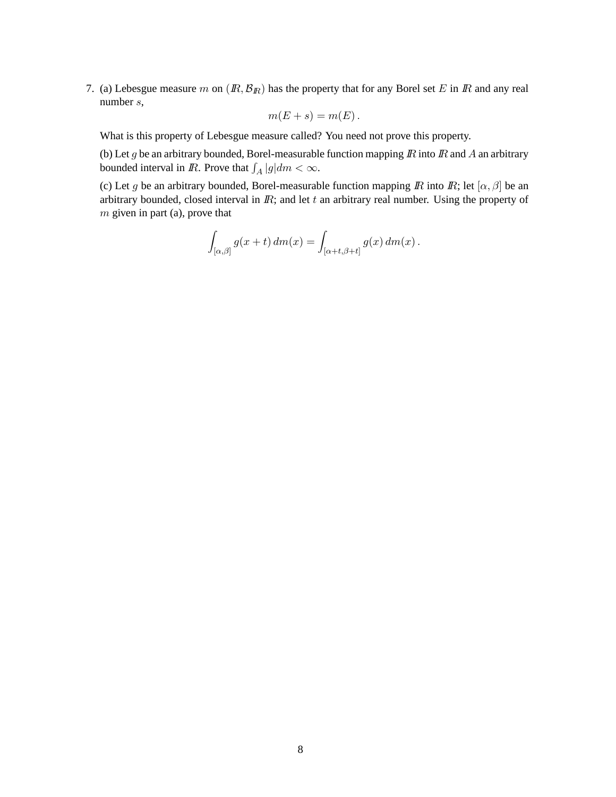7. (a) Lebesgue measure m on  $(R, \mathcal{B}_R)$  has the property that for any Borel set E in IR and any real number s,

$$
m(E+s)=m(E).
$$

What is this property of Lebesgue measure called? You need not prove this property.

(b) Let g be an arbitrary bounded, Borel-measurable function mapping  $\mathbb R$  into  $\mathbb R$  and  $\mathbb A$  an arbitrary bounded interval in R. Prove that  $\int_A |g| dm < \infty$ .

(c) Let g be an arbitrary bounded, Borel-measurable function mapping  $\mathbb R$  into  $\mathbb R$ ; let  $[\alpha, \beta]$  be an arbitrary bounded, closed interval in  $I\!R$ ; and let  $t$  an arbitrary real number. Using the property of  $m$  given in part (a), prove that

$$
\int_{[\alpha,\beta]} g(x+t) dm(x) = \int_{[\alpha+t,\beta+t]} g(x) dm(x).
$$